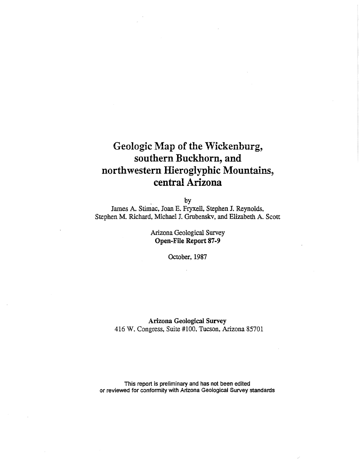# Geologic Map of the Wickenburg, southern Buckhorn, and northwestern Hieroglyphic Mountains, central Arizona

\_ by

James A. Stimac, Joan E. Fryxell. Stephen J. Reynolds, Stephen M. Richard, Michael J. GrubenskY, and Elizabeth A. Scott

> Arizona Geological Survey Open-File Report 87-9

> > October, 1987

Arizona Geological Survey 416 W. Congress, Suite #100, Tucson, Arizona 85701

This report is preliminary and has not been edited or reviewed for conformity with Arizona Geological Survey standards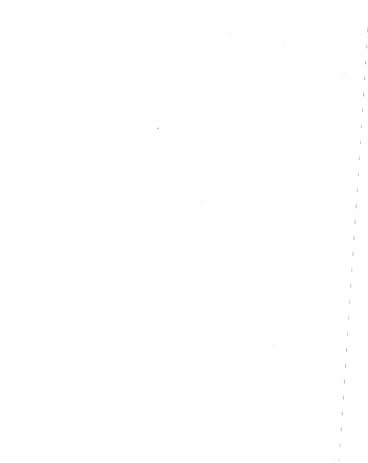$\label{eq:2.1} \frac{1}{\sqrt{2}}\int_{\mathbb{R}^3}\frac{1}{\sqrt{2}}\left(\frac{1}{\sqrt{2}}\right)^2\frac{1}{\sqrt{2}}\left(\frac{1}{\sqrt{2}}\right)^2\frac{1}{\sqrt{2}}\left(\frac{1}{\sqrt{2}}\right)^2.$ 

 $\label{eq:2.1} \mathcal{L}(\mathcal{L}^{\text{max}}_{\mathcal{L}}(\mathcal{L}^{\text{max}}_{\mathcal{L}}),\mathcal{L}^{\text{max}}_{\mathcal{L}}(\mathcal{L}^{\text{max}}_{\mathcal{L}}))$ 

 $\mathcal{I}$  $\mathcal{L}^{\text{max}}_{\text{max}}$  and  $\mathcal{L}^{\text{max}}_{\text{max}}$  $\mathbf{L}$ 

 $\mathcal{L}$  $\|$  $\mathbb{R}$ 

 $\mathcal{A}^{\mathcal{A}}$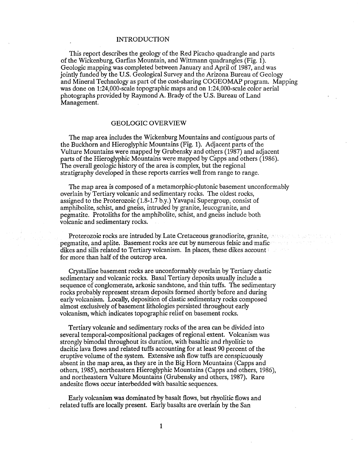## INTRODUCTION

This report describes the geology of the Red Picacho quadrangle and parts of the Wickenburg, Garfias Mountain, and Wittmann quadrangles (Fig. 1). Geologic mapping was completed between January and April of 1987, and was jointly funded by the U.S. Geological Survey and the Arizona Bureau of Geology and Mineral Technology as part of the cost-sharing COGEOMAP program. Mapping was done on 1:24,000-scale topographic maps and on 1:24,000-scale color aerial photographs provided by Raymond A. Brady of the U.S. Bureau of Land Management.

## GEOLOGIC OVERVIEW

The map area includes the Wickenburg Mountains and contiguous parts of the Buckhorn and Hieroglyphic Mountains (Fig. 1). Adjacent parts of the Vulture Mountains were mapped by Grubensky and oth\_ers (1987) and adjacent parts of the Hieroglyphic Mountains were mapped by Capps and others (1986). The overall geologic history of the area is complex, but the regional stratigraphy developed in these reports carries well from range to range.

The map area is composed of a metamorphic-plutonic basement unconformably overlain by Tertiary volcanic and sedimentary rocks. The oldest rocks, assigned to the Proterozoic (1.8-1.7 b.y.) Yavapai Supergroup, consist of amphibolite, schist, and gneiss, intruded by granite, leucogranite, and pegmatite. Protoliths for the amphibolite, schist, and gneiss include both volcanic and sedimentary rocks.

Proterozoic rocks are intruded by Late Cretaceous granodiorite, granite, and a subsequently pegmatite, and aplite. Basement rocks are cut by numerous felsic and mafic dikes and sills related to Tertiary volcanism. **In** places, these dikes.account . for more than half of the outcrop area.

Crystalline basement rocks are unconformably overlain by Tertiary clastic sedimentary and volcanic rocks. Basal Tertiary deposits usually include a sequence of conglomerate, arkosic sandstone, and thin tuffs. The sedimentary rocks probably represent stream deposits formed shortly before and during early volcanism. Locally, deposition of clastic sedimentary rocks composed almost exclusively of basement lithologies persisted throughout early volcanism, which indicates topographic relief on basement rocks.

Tertiary volcanic and sedimentary rocks of the area can be divided into several temporal-compositional packages of regional extent. Volcanism was strongly bimodal throughout its duration, with basaltic and rhyolitic to dacitic lava flows and related tuffs accounting for at least 90 percent of the eruptive volume of the system. Extensive ash flow tuffs are conspicuously absent in the map area, as they are in the Big Horn Mountains (Capps and others, 1985), northeastern Hieroglyphic Mountains (Capps and others, 1986), and northeastern Vulture Mountains (Grubensky and others, 1987). Rare andesite flows occur interbedded with basaltic sequences.

Early volcanism was dominated by basalt flows, but rhyolitic flows and related tuffs are locally present. Early basalts are overlain by the San

1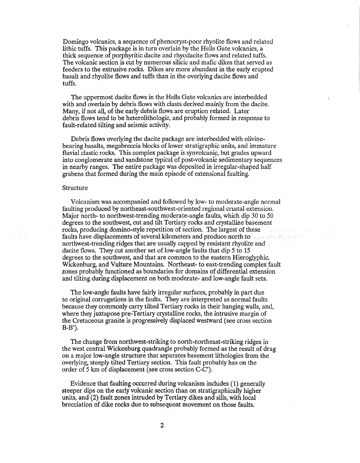Domingo volcanics, a sequence of phenocryst-poor rhyolite flows and related lithic tuffs. This package is in turn overlain by the Hells Gate volcanics, a thick sequence of porphyritic dacite and rhyodacite flows and related tuffs. The volcanic section is cut by numerous silicic and mafic dikes that served as feeders to the extrusive rocks. Dikes are more abundant in the early erupted basalt and rhyolite flows and tuffs than in the overlying dacite flows and tuffs.

The uppermost dacite flows in the Hells Gate volcanics are interbedded with and overlain by debris flows with clasts derived mainly from the dacite. Many, if not all, of the early debris flows are eruption related. Later debris flows tend to be heterolithologic, and probably formed in response to fault-related tilting and seismic activity.

Debris flows overlying the dacite package are interbedded with olivinebearing basalts, megabreccia blocks of lower stratigraphic units, and immature fluvial clastic rocks. This complex package is synvolcanic, but grades upward into conglomerate and sandstone typical of post-volcanic sedimentary sequences in nearby ranges. The entire package was deposited in irregular-shaped half grabens that formed during the main episode of extensional faulting.

#### Structure

Volcanism was accompanied and followed by low- to moderate-angle normal faulting produced by northeast-southwest-oriented regional crustal extension. Major north- to northwest-trending moderate-angle faults, which dip 30 to 50 degrees to the southwest, cut and tilt Tertiary rocks and crystalline basement rocks, producing domino-style repetition of section. The largest of these u di Setti Museum di S faults have displacements of several kilometers and produce.northto . The state of the second second . The set northwest-trending ridges that are usually capped by resistant rhyolite and we are welldacite flows. They cut another set of low-angle faults that dip 5. to 15 degrees to the southwest, and that are common to the eastern Hieroglyphic, Wickenburg, and Vulture Mountains. Northeast- to east-trending complex fault zones probably functioned as boundaries for domains of differential extension and tilting during displacement on both moderate- and low-angle fault sets.

The low-angle faults have fairly irregular surfaces, probably in part due to original corrugations in the faults. They are interpreted as normal faults because they commonly carry tilted Tertiary rocks in their hanging walls, and, where they juxtapose pre-Tertiary crystalline rocks, the intrusive margin of the Cretaceous granite is progressively displaced westward (see cross section B-B').

The change from northwest-striking to north-northeast-striking ridges in the west central Wickenburg quadrangle probably formed as the result of drag on a major low-angle structure that separates basement lithologies from the overlying, steeply tilted Tertiary section. This fault probably has on the order of 5 km of displacement (see cross section C-C').

Evidence that faulting occurred during volcanism includes (1) generally steeper dips on the early volcanic section than on stratigraphically higher units, and (2) fault zones intruded by Tertiary dikes and sills, with local brecciation of dike rocks due to subsequent movement on those faults.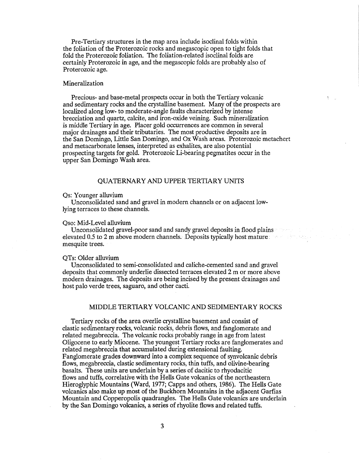Pre-Tertiary structures in the map area include isoclinal folds within the foliation of the Proterozoic rocks and megascopic open to tight folds that fold the Proterozoic foliation. The foliation-related isoclinal folds are certainly Proterozoic in age, and the megascopic folds are probably also of Proterozoic age.

# Mineralization

Precious- and base-metal prospects occur in both the Tertiary volcanic and sedimentary rocks and the crystalline basement. Many of the prospects are localized along low- to moderate-angle faults characterized by intense brecciation and quartz, calcite, and iron-oxide veining. Such mineralization is middle Tertiary in age. Placer gold occurrences are common in several major drainages and their tributaries. The most productive deposits are in the San Domingo, Little San Domingo, and Ox Wash areas. Proterozoic metachert and metacarbonate lenses, interpreted as exhalites, are also potential prospecting targets for gold. Proterozoic Li-bearing pegmatites occur in the upper San Domingo Wash area.

# QUATERNARY AND UPPER TERTIARY UNITS

#### Qs: Younger alluvium

Unconsolidated sand and gravel in modern channels or on adjacent lowlying terraces to these channels.

#### Qso: Mid-Level alluvium

Unconsolidated gravel-poor sand and sandy gravel deposits in flood plains elevated 0.5 to 2 m above modern channels; Deposits typically host mature; we construct the mesquite trees.

#### QTs: Older alluvium

Unconsolidated to semi-consolidated and caliche-cemented sand and gravel deposits that commonly underlie dissected terraces elevated 2 m or more above modern drainages. The deposits are being incised by the present drainages and host palo verde trees, saguaro, and other cacti.

# MIDDLE TERTIARY VOLCANIC AND SEDIMENTARY ROCKS

Tertiary rocks of the area overlie crystalline basement and consist of clastic sedimentary rocks, volcanic rocks, debris flows, and fanglomerate and related megabreccia. The volcanic rocks probably range in age from latest Oligocene to early Miocene. The youngest Tertiary rocks are fanglomerates and related megabreccia that accumulated during extensional faulting. Fanglomerate grades downward into a complex sequence of synvolcanic debris flows, megabreccia, clastic sedimentary rocks, thin tuffs, and olivine-bearing basalts. These units are underlain by a series of dacitic to rhyodacitic flows and tuffs, correlative with the Hells Gate volcanics of the northeastern Hieroglyphic Mountains (Ward, 1977; Capps and others, 1986). The Hells Gate volcanics also make up most of the Buckhorn Mountains in the adjacent Garfias Mountain and Copperopolis quadrangles. The Hells Gate volcanics are underlain by the San Domingo volcanics, a series of rhyolite flows and related tuffs.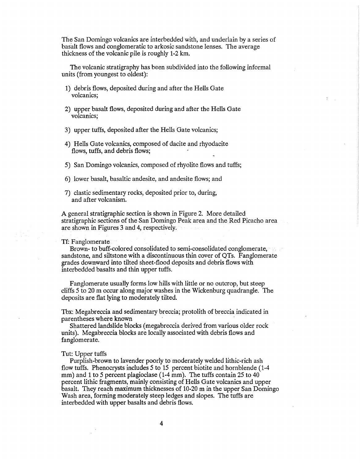The San Domingo volcanics are interbedded with, and underlain by a series of basalt flows and conglomeratic to arkosic sandstone lenses. The average thickness of the volcanic pile is roughly 1-2 km.

The volcanic stratigraphy has been subdivided into the following informal units (from youngest to oldest):

- 1) debris flows, deposited during and after the Hells Gate volcanics;
- 2) upper basalt flows, deposited during and after the Hells Gate volcanics;
- 3) upper tuffs, deposited after the Hells Gate volcanics;
- 4) Hells Gate volcanics, composed of dacite and rhyodacite flows, tuffs, and debris flows;
- 5) San Domingo volcanics, composed of rhyolite flows and tuffs;
- 6) lower basalt, basaltic andesite, and andesite flows; and
- 7) clastic sedimentary rocks, deposited prior to, during, and after volcanism.

A general stratigraphic section is shown in Figure 2. More detailed stratigraphic sections of the San Domingo Peak area and the Red Picacho area are shown in Figures 3 and 4, respectively.

#### Tf: Fanglomerate

Brown- to buff-colored consolidated to semi-consolidated conglomerate, sandstone, and siltstone with a discontinuous thin cover of QTs. Fanglomerate grades downward into tilted sheet-flood deposits and debris flows with interbedded basalts and thin upper tuffs.

Fanglomerate usually forms low hills with little or no outcrop, but steep cliffs 5 to 20 m occur along major washes in the Wickenburg quadrangle. The deposits are flat lying to moderately tilted.

Tbx: Megabreccia and sedimentary breccia; protolith of breccia indicated in parentheses where known '

Shattered landslide blocks (megabreccia derived from various older rock units). Megabreccia blocks are locally associated with debris flows and fanglomerate.

#### Tut: Upper tuffs

Purplish-brown to lavender poorly to moderately welded lithic-rich ash flow tuffs. Phenocrysts includes 5 to 15 percent biotite and hornblende (1-4 mm) and 1 to 5 percent plagioclase (1-4 mm). The tuffs contain 25 to 40 percent lithic fragments, mainly consisting of Hells Gate volcanics and upper basalt. They reach maximum thicknesses of 10-20 m in the upper San Domingo Wash area, forming moderately steep ledges and slopes. The tuffs are interbedded with upper basalts and debris flows.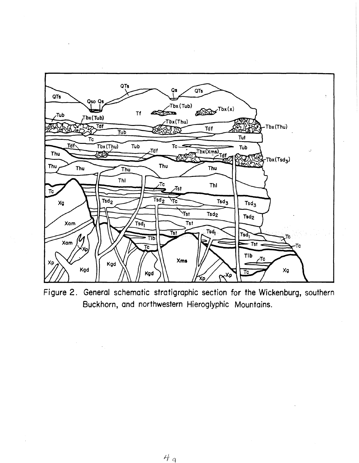

Figure 2. General schematic stratigraphic section for the Wickenburg, southern Buckhorn, and northwestern Hieroglyphic Mountains.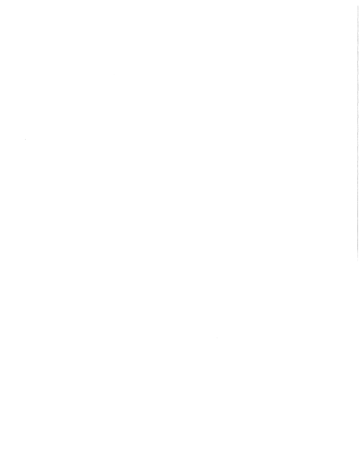$\label{eq:2.1} \frac{1}{\sqrt{2}}\sum_{i=1}^n\frac{1}{\sqrt{2}}\sum_{i=1}^n\frac{1}{\sqrt{2}}\sum_{i=1}^n\frac{1}{\sqrt{2}}\sum_{i=1}^n\frac{1}{\sqrt{2}}\sum_{i=1}^n\frac{1}{\sqrt{2}}\sum_{i=1}^n\frac{1}{\sqrt{2}}\sum_{i=1}^n\frac{1}{\sqrt{2}}\sum_{i=1}^n\frac{1}{\sqrt{2}}\sum_{i=1}^n\frac{1}{\sqrt{2}}\sum_{i=1}^n\frac{1}{\sqrt{2}}\sum_{i=1}^n\frac$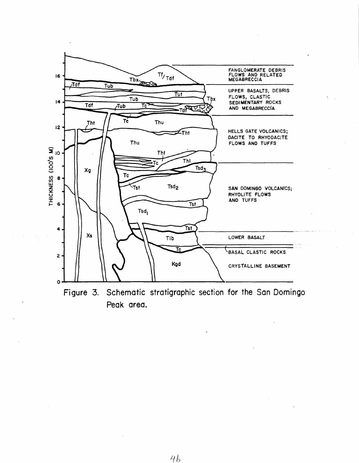

Schematic stratigraphic section for the San Domingo Figure 3. Peak area.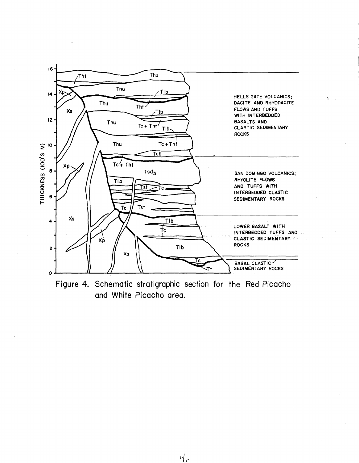

 $\mathfrak{g}=\mathbb{Q}$ 

Figure 4. Schematic stratigraphic section for the Red Picacho and White Picacho area.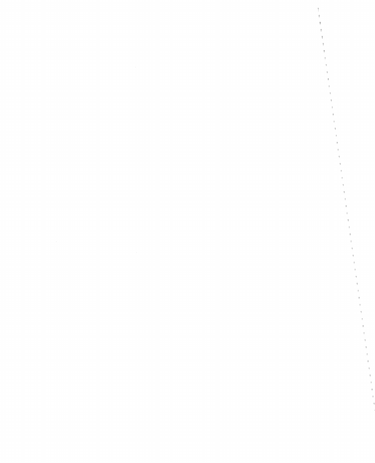$\mathbf{I}_{\mathbb{R}}$  $\overline{1}$ ţ. L.  $\mathbb{F}^2$  $\mathbb{F}_2$  $\Gamma$  $\mathbf{1}$ t.  $\bar{\bar{E}}$  $\Gamma$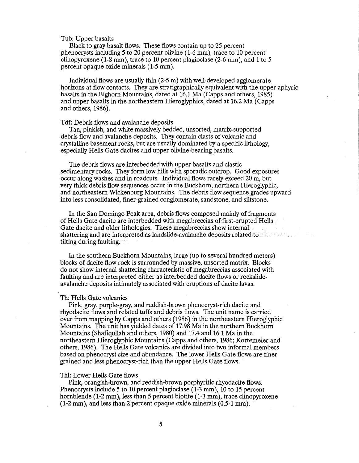### Tub: Upper basalts

Black to gray basalt flows. These flows contain up to 25 percent phenocrysts including 5 to 20 percent olivine (1-6 mm), trace to 10 percent clinopyroxene (1-8 mm), trace to 10 percent plagioclase (2-6 mm), and 1 to 5 percent opaque oxide minerals (1-5 mm).

Individual flows are usually thin (2-5 m) with well-developed agglomerate horizons at flow contacts. They are stratigraphically equivalent with the upper aphyric basalts in the Bighorn Mountains, dated at 16.1 Ma (Capps and others, 1985) and upper basalts in the northeastern Hieroglyphics, dated at 16.2 Ma (Capps and others, 1986).

#### Tdf: Debris flows and avalanche deposits

Tan, pinkish, and white massively bedded, unsorted, matrix-supported debris flow and avalanche deposits. They contain clasts of volcanic and crystalline basement rocks, but are usually dominated by a specific lithology, especially Hells Gate dacites and upper olivine-bearing basalts.

The debris flows are interbedded with upper basalts and clastic sedimentary rocks. They form low hills with sporadic outcrop. Good exposures occur along washes and in roadcuts. Individual flows rarely exceed 20 m, but very thick debris flow sequences occur in the Buckhorn, northern Hieroglyphic, and northeastern Wickenburg Mountains. The debris flow sequence grades upward into less consolidated, finer-grained conglomerate, sandstone, and siltstone.

In the San Domingo Peak area, debris flows composed mainly of fragments of Hells Gate dacite are interbedded with megabreccias of first-erupted Hells Gate dacite and older lithologies. These megabreccias show internal shattering and are interpreted as landslide-avalanche deposits related to see the state of tilting during faulting.

In the southern Buckhorn Mountains, large (up to several hundred meters) blocks of dacite flow rock is surrounded by massive, unsorted matrix. Blocks do not show internal shattering characteristic of megabreccias associated with faulting and are interpreted either as interbedded dacite flows or rockslideavalanche deposits intimately associated with eruptions of dacite lavas.

#### Th: Hells Gate volcanics

Pink, gray, purple-gray, and reddish-brown phenocryst-rich dacite and rhyodacite flows and related tuffs and debris flows. The unit name is carried over from mapping by Capps and others (1986) in the northeastern Hieroglyphic Mountains. The unit has yielded dates of 17.98 Ma in the northern Buckhorn Mountains (Shafiqullah and others, 1980) and 17.4 and 16.1 Ma in the northeastern Hieroglyphic Mountains (Capps and others, 1986; Kortemeier and others, 1986). The Hells Gate volcanics are divided into two informal members based on phenocryst size and abundance. The lower Hells Gate flows are finer grained and less phenocryst-rich than the upper Hells Gate flows.

## ThI: Lower Hells Gate flows

Pink, orangish-brown, and reddish-brown porphyritic rhyodacite flows. Phenocrysts include 5 to 10 percent plagioclase (1-3 mm), 10 to 15 percent hornblende (1-2 mm), less than 5 percent biotite (1-3 mm), trace clinopyroxene (1-2 mm), and less than 2 percent opaque oxide minerals (0.5-1 mm).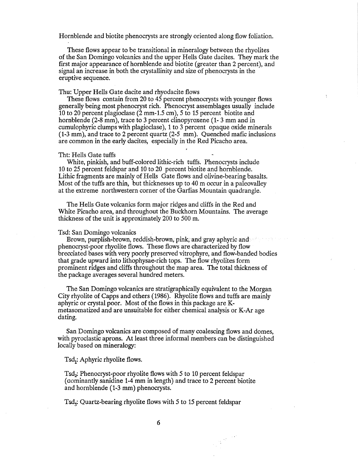Hornblende and biotite phenocrysts are strongly oriented along flow foliation.

These flows appear to be transitional in mineralogy between the rhyolites of the San Domingo volcanics and the upper Hells Gate dacites. They mark the first major appearance of hornblende and biotite (greater than 2 percent), and signal an increase in both the crystallinity and size of phenocrysts in the eruptive sequence.

#### Thu: Upper Hells Gate dacite and rhyodacite flows

These flows contain from 20 to 45 percent phenocrysts with younger flows generally being most phenocryst rich. Phenocryst assemblages usually include 10 to 20 percent plagioclase (2 mm-1.5 cm), 5 to 15 percent biotite and hornblende (2-8 mm), trace to 3 percent clinopyroxene (1-3 mm and in cumulophyric clumps with plagioclase), 1 to 3 percent opaque oxide minerals (1-3 mm), and trace to 2 percent quartz (2-5 mm). Quenched mafic inclusions are common in the early dacites, especially in the Red Picacho area.

# Tht: Hells Gate tuffs

White, pinkish, and buff-colored lithic-rich tuffs. Phenocrysts include 10 to 25 percent feldspar and 10 to 20 percent biotite and hornblende. Lithic fragments are mainly of Hells Gate flows and olivine-bearing basalts. Most of the tuffs are thin, but thicknesses up to 40 m occur in a paleovalley at the extreme northwestern corner of the Garfias Mountain quadrangle.

The Hells Gate volcanics form major ridges and cliffs in the Red and White Picacho area, and throughout the Buckhorn Mountains. The average thickness of the unit is approximately 200 to 500 m.

#### Tsd: San Domingo volcanics

Brown, purplish-brown, reddish-brown, pink, and gray aphyric and phenocryst-poor rhyolite flows. These flows are characterized by flow brecciated bases with very poorly preserved vitrophyre, and flow-banded bodies that grade upward into lithophysae-rich tops. The flow rhyolites form prominent ridges and cliffs throughout the map area. The total thickness of the package averages several hundred meters.

The San Domingo volcanics are stratigraphically equivalent to the Morgan City rhyolite of Capps and others (1986). Rhyolite flows and tuffs are mainly aphyric or crystal poor. Most of the flows in this package are Kmetasomatized and are unsuitable for either chemical analysis or K-Ar age dating.

San Domingo volcanics are composed of many coalescing flows and domes, with pyroclastic aprons. At least three informal members can be distinguished locally based on mineralogy:

#### Tsd<sub>1</sub>: Aphyric rhyolite flows.

Tsd<sub>2</sub>: Phenocryst-poor rhyolite flows with 5 to 10 percent feldspar (aominantly sanidine 1-4 mm in length) and trace to 2 percent biotite and hornblende (1-3 mm) phenocrysts.

Tsd<sub>3</sub>: Quartz-bearing rhyolite flows with 5 to 15 percent feldspar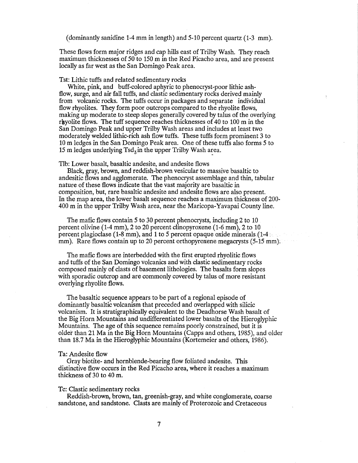(dominantly sanidine 1-4 mm in length) and 5-10 percent quartz (1-3 mm).

These flows form major ridges and cap hills east of Trilby Wash. They reach maximum thicknesses of 50 to 150 m in the Red Picacho area, and are present locally as far west as the San Domingo Peak area.

Tst: Lithic tuffs and related sedimentary rocks

White, pink, and buff-colored aphyric to phenocryst-poor lithic ashflow, surge, and air fall tuffs, and clastic sedimentary rocks derived mainly from volcanic rocks. The tuffs occur in packages and separate individual flow rhyolites. They form poor outcrops compared to the rhyolite flows, making up moderate to steep slopes generally covered by talus of the overlying rhad regionst flows. The tuff sequence reaches thicknesses of 40 to 100 m in the San Domingo Peak and upper Trilby Wash areas and includes at least two moderately welded lithic-rich ash flow tuffs. These tuffs form prominent 3 to 10 m ledges in the San Domingo Peak area. One of these tuffs also forms 5 to 15 m ledges underlying  $\text{Tsd}_3$  in the upper Trilby Wash area.

TIb: Lower basalt, basaltic andesite, and andesite flows

Black, gray, brown, and reddish-brown vesicular to massive basaltic to andesitic flows and agglomerate. The phenocryst assemblage and thin, tabular nature of these flows indicate that the vast majority are basaltic in composition, but, rare basaltic andesite and andesite flows are also present. In the map area, the lower basalt sequence reaches a maximum thickness of 200- 400 m in the upper Trilby Wash area, near the Maricopa-Yavapai County line.

The mafic flows contain 5 to 30 percent phenocrysts, including 2 to 10 percent olivine (1-4 mm), 2 to 20 percent clinopyroxene (1-6 mm), 2 to 10 percent plagioclase (1-8 mm), and 1 to 5 percent opaque oxide minerals  $(1-4)$ mm). Rare flows contain up to 20 percent orthopyroxene megacrysts (5-15 mm).

The mafic flows are interbedded with the first erupted rhyolitic flows and tuffs of the San Domingo volcanics and with clastic sedimentary rocks composed mainly of clasts of basement lithologies. The basalts form slopes with sporadic outcrop and are commonly covered by talus of more resistant overlying rhyolite flows.

The basaltic sequence appears to be part of a regional episode of dominantly basaltic volcanism that preceded and overlapped with silicic volcanism. It is stratigraphically equivalent to the Deadhorse Wash basalt of the Big Horn Mountains and undifferentiated lower basalts of the Hieroglyphic Mountains. The age of this sequence remains poorly constrained, but it is older than 21 Ma in the Big Horn Mountains (Capps and others, 1985), and older than 18.7 Ma in the Hieroglyphic Mountains (Kortemeier and others, 1986).

#### Ta: Andesite flow

Gray biotite- and hornblende-bearing flow foliated andesite. This distinctive flow occurs in the Red Picacho area, where it reaches a maximum thickness of 30 to 40 m.

## Tc: Clastic sedimentary rocks

Reddish-brown, brown, tan, greenish-gray, and white conglomerate, coarse sandstone, and sandstone. Clasts are mainly of Proterozoic and Cretaceous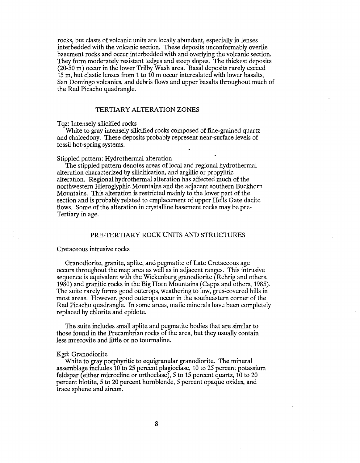rocks,. but clasts of volcanic units are locally abundant, especially in lenses interbedded with the volcanic section. These deposits unconformably overlie basement rocks and occur interbedded with and overlying the volcanic section. They form moderately resistant ledges and steep slopes. The thickest deposits (20-50 m) occur in the lower Trilby Wash area. Basal deposits rarely exceed 15 m, but clastic lenses from 1 to 10 m occur intercalated with lower basalts, San Domingo volcanics, and debris flows and upper basalts throughout much of the Red Picacho quadrangle.

#### TERTIARY ALTERATION ZONES

Tqz: Intensely silicified rocks

White to gray intensely silicified rocks composed of fine-grained quartz and chalcedony. These deposits probably represent near-surface levels of fossil hot-spring systems.

### Stippled pattern: Hydrothermal alteration

The stippled pattern denotes areas of local and regional hydrothermal alteration characterized by silicification, and argillic or propylitic alteration. Regional hydrothermal alteration has affected much of the northwestern Hieroglyphic Mountains and the adjacent southern Buckhorn Mountains. This alteration is restricted mainly to the lower part of the section and is probably related to emplacement of upper Hells Gate dacite flows. Some of the alteration in crystalline basement rocks may be pre-Tertiary in age.

# PRE-TERTIARY ROCK UNITS AND STRUCTURES

## Cretaceous intrusive rocks

Granodiorite, granite, aplite, and-pegmatite of Late Cretaceous age occurs throughout the map area as well as in adjacent ranges. This intrusive sequence is equivalent with the Wickenburg granodiorite (Rehrig and others, 1980) and granitic rocks in the Big Horn Mountains (Capps and others, 1985). The suite rarely forms good outcrops, weathering to low, grus-covered hills in most areas. However, good outcrops occur in the southeastern corner of the Red Picacho quadrangle. In some areas, mafic minerals have been completely replaced by chlorite and epidote.

The suite includes small aplite and pegmatite bodies that are similar to those found in the Precambrian rocks of the area, but they usually contain less muscovite and little or no tourmaline.

#### Kgd: Granodiorite

White to gray porphyritic to equigranular granodiorite. The mineral assemblage includes 10 to 25 percent plagioclase, 10 to 25 percent potassium feldspar (either microcline or orthoclase), 5 to 15 percent quartz, 10 to 20 percent biotite, 5 to 20 percent hornblende, 5 percent opaque oxides, and trace sphene and zircon.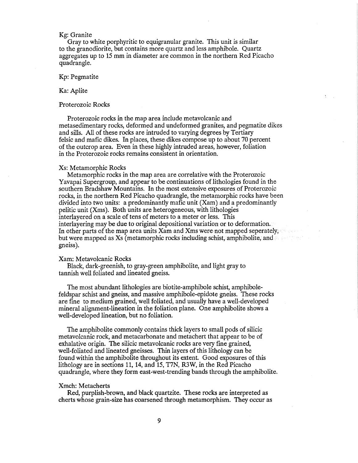## Kg: Granite

Gray to white porphyritic to equigranular granite. This unit is similar to the granodiorite, but contains more quartz and less amphibole. Quartz aggregates up to 15 mm in diameter are common in the northern Red Picacho quadrangle.

# Kp: Pegmatite

## Ka: Aplite

## Proterozoic Rocks

Proterozoic rocks in the map area include metavolcanic and metasedimentary rocks, deformed and undeformed granites, and pegmatite dikes and sills. All of these rocks are intruded to varying degrees by Tertiary felsic and mafic dikes. In places, these dikes compose up to about 70 percent of the outcrop area. Even in these highly intruded areas, however, foliation in the Proterozoic rocks remains consistent in orientation.

## Xs: Metamorphic Rocks

Metamorphic rocks in the map area are correlative with the Proterozoic Yavapai Supergroup, and appear to be continuations of lithologies found in the southern Bradshaw Mountains. In the most extensive exposures of Proterozoic rocks, in the northern Red Picacho quadrangle, the metamorphic rocks have been divided into two units: a predominantly mafic unit (Xam) and a predominantly pelitic unit (Xms). Both units are heterogeneous, with lithologies interlayered on a scale of tens of meters to a meter or less. This interlayering may be due to original depositional variation or to deformation. In other parts of the map area units Xam and Xms were not mapped seperately. but were mapped as Xs (metamorphic rocks including schist, amphibolite, and an analyzed gneiss).

#### Xam: Metavolcanic Rocks

Black, dark-greenish, to gray-green amphibolite, and light gray to tannish well foliated and lineated gneiss.

The most abundant lithologies are biotite-amphibole schist, amphibolefeldspar schist and gneiss, and massive amphibole-epidote gneiss. These rocks are fine to medium grained, well foliated, and usually have a well-developed mineral alignment-lineation in the foliation plane. One amphibolite shows a well-developed lineation, but no foliation.

The amphibolite commonly contains thick layers to small pods of silicic metavolcanic rock, and metacarbonate and metachert that appear to be of exhalative origin. The silicic metavolcanic rocks are very fine grained, well-foliated and lineated gneisses. Thin layers of this lithology can be found within the amphibolite throughout its extent. Good exposures of this lithology are in sections 11, 14, and 15, TIN, R3W, in the Red Picacho quadrangle, where they form east-west-trending bands through the amphibolite.

## Xmch: Metacherts

Red, purplish-brown, and black quartzite. These rocks are interpreted as cherts whose grain-size has coarsened through metamorphism. They occur as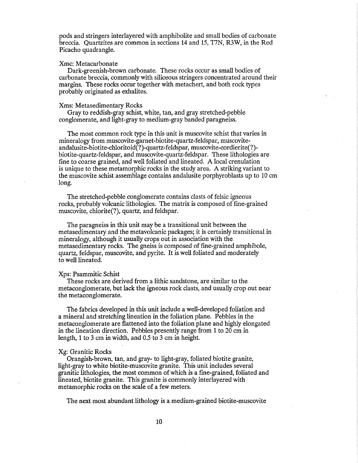pods and stringers interlayered with amphibolite and small bodies of carbonate breccia. Quartzites are common in sections 14 and 15, TIN, R3W, in the Red Picacho quadrangle.

#### Xmc: Metacarbonate

Dark-greenish-brown carbonate. These rocks occur as small bodies of carbonate breccia, commonly with siliceous stringers concentrated around their margins. These rocks occur together with metachert, and both rock types probably originated as exhalites.

## Xms: Metasedimentary Rocks

Gray to reddish-gray schist, white, tan, and gray stretched-pebble conglomerate, and light-gray to medium-gray banded paragneiss.

The most common rock type in this unit is muscovite schist that varies in mineralogy from muscovite-garnet-biotite-quartz-feldspar, muscoviteandalusite-biotite-chloritoid(?)-quartz-feldspar, muscovite-cordierite(?) biotite-quartz-feldspar, and muscovite-quartz-feldspar. These lithologies are fine to coarse grained, and well foliated and lineated. A local crenulation is unique to these metamorphic rocks in the study area. A striking variant to the muscovite schist assemblage contains andalusite porphyroblasts up to 10 cm long.

The stretched-pebble conglomerate contains clasts of felsic igneous rocks, probably volcanic lithologies. The matrix is composed of fine-grained muscovite, chlorite(?), quartz, and feldspar.

The paragneiss in this unit may be a transitional unit between the metasedimentary and the metavolcanic packages; it is certainly transitional in mineralogy, although it usually crops out in association with the metasedimentary rocks. The gneiss is composed of fine-grained amphibole, quartz, feldspar, muscovite, and pyrite. It is well foliated and moderately to well lineated.

#### Xps: Psammitic Schist

These rocks are derived from a lithic sandstone, are similar to the metaconglomerate, but lack the igneous rock clasts, and usually crop out near the metaconglomerate.

The fabrics developed in this unit include a well-developed foliation and a mineral and stretching lineation in the foliation plane. Pebbles in the metaconglomerate are flattened into the foliation plane and highly elongated in the lineation direction. Pebbles presently range from 1 to 20 cm in length, 1 to 3 cm in width, and 0.5 to 3 cm in height.

#### Xg: Granitic Rocks

Orangish-brown, tan, and gray- to light-gray, foliated biotite granite, light-gray to white biotite-muscovite granite. This unit includes several granitic lithologies, the most common of which is a fine-grained, foliated and lineated, biotite granite. This granite is commonly interlayered with metamorphic rocks on the scale of a few meters.

The next most abundant lithology is a medium-grained biotite-muscovite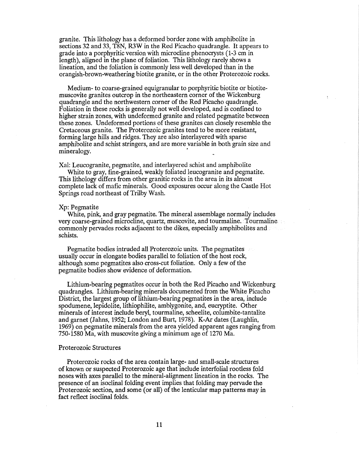granite. This lithology has a deformed border zone with amphibolite in sections 32 and 33, T8N, R3W in the Red Picacho quadrangle. It appears to grade into a porphyritic version with microcline phenocrysts (1-3 cm in length), aligned in the plane of foliation. This lithology rarely shows a lineation, and the foliation is commonly less well developed than in the orangish-brown-weathering biotite granite, or in the other Proterozoic rocks.

Medium- to coarse-grained equigranular to porphyritic biotite or biotitemuscovite granites outcrop in the northeastern corner of the Wickenburg quadrangle and the northwestern corner of the Red Picacho quadrangle. Foliation in these rocks is generally not well developed, and is confined to higher strain zones, with undeformed granite and related pegmatite between these zones. Undeformed portions of these granites can closely resemble the Cretaceous granite. The Proterozoic granites tend to be more resistant, forming large hills and ridges. They are also interlayered with sparse amphibolite and schist stringers, and are more variable in both grain size and mineralogy.

Xal: Leucogranite, pegmatite, and interlayered schist and amphibolite

White to gray, fine-grained, weakly foliated leucogranite and pegmatite. This lithology differs from other granitic rocks in the area in its almost complete lack of mafic minerals. Good exposures occur along the Castle Hot Springs road northeast of Trilby Wash.

#### Xp: Pegmatite

White, pink, and gray pegmatite. The mineral assemblage normally includes very coarse-grained microcline, quartz, muscovite, and tourmaline. Tourmaline commonly pervades rocks adjacent to the dikes, especially amphibolites and schists.

Pegmatite bodies intruded all Proterozoic units. The pegmatites usually occur in elongate bodies parallel to foliation of the host rock, although some pegmatites also cross-cut foliation. Only a few of the pegmatite bodies show evidence of deformation.

Lithium-bearing pegmatites occur in both the Red Picacho and Wickenburg quadrangles. Lithium-bearing minerals documented from the White Picacho District, the largest group of lithium-bearing pegmatites in the area, include spodumene, lepidolite, lithiophilite, amblygonite, and, eucryptite. Other minerals of interest include beryl, tourmaline, scheelite, columbite-tantalite and garnet (Jahns, 1952; London and Burt, 1978). K-Ar dates (Laughlin, 1969) on pegmatite minerals from the area yielded apparent ages ranging from 750-1580 Ma, with muscovite giving a minimum age of 1270 Ma.

#### Proterozoic Structures

Proterozoic rocks of the area contain large- and small-scale structures of known or suspected Proterozoic age that include interfolial rootless fold noses with axes parallel to the mineral-alignment lineation in the rocks. The presence of an isoclinal folding event implies that folding may pervade the Proterozoic section, and some (or all) of the lenticular map patterns may in fact reflect isoclinal folds.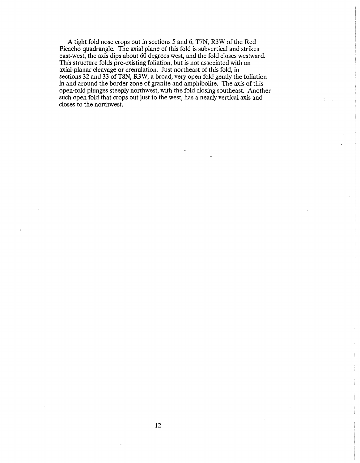A tight fold nose crops out in sections 5 and 6, TIN, R3W of the Red Picacho quadrangle. The axial plane of this fold is subvertical and strikes east-west, the axis dips about 60 degrees west, and the fold closes westward. This structure folds pre-existing foliation, but is not associated with an axial-planar cleavage or crenulation. Just northeast of this fold, in sections 32 and 33 of T8N, R3W, a broad, very open fold gently the foliation in and around the border zone of granite and amphibolite. The axis of this open-fold plunges steeply northwest, with the fold closing southeast. Another such open fold that crops out just to the west, has a nearly vertical axis and closes to the northwest.